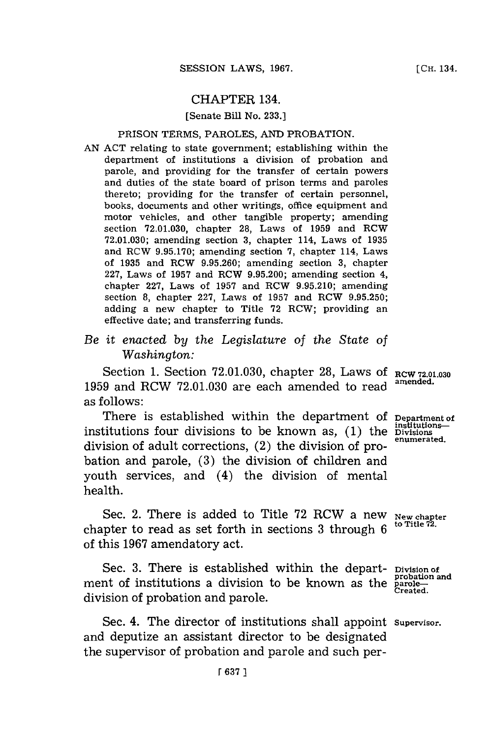## CHAPTER 134.

### [Senate Bill No. **233.]**

### PRISON TERMS, PAROLES, **AND** PROBATION.

- **AN ACT** relating to state government; establishing within the department of institutions a division of probation and parole, and providing for the transfer of certain powers and duties of the state board of prison terms and paroles thereto; providing for the transfer of certain personnel, books, documents and other writings, office equipment and motor vehicles, and other tangible property; amending section **72.01.030,** chapter **28,** Laws of **1959** and RCW **72.01.030;** amending section **3,** chapter 114, Laws of **1935** and RCW **9.95.170;** amending section **7,** chapter 114, Laws of **1935** and RCW **9.95.260;** amending section **3,** chapter **227,** Laws of **1957** and RCW **9.95.200;** amending section 4, chapter **227,** Laws of **1957** and RCW **9.95.210;** amending section **8,** chapter **227,** Laws of **1957** and RCW **9.95.250;** adding a new chapter to Title **72** RCW; providing an effective date; and transferring funds.
- *Be it enacted by the Legislature of the State of Washington:*

Section **1.** Section **72.0 1.030,** chapter **28,** Laws **Of** RCW **72.01.030** 1959 and RCW 72.01.030 are each amended to read as follows:

There is established within the department of **Department of** institutions—<br>titutions four divisions to be known as. (1) the Divisions institutions four divisions to be known as,  $(1)$  the Divisions-<br> $(2)$ division of adult corrections,  $(2)$  the division of probation and parole, **(3)** the division of children and youth services, and (4) the division of mental health.

Sec. 2. There is added to Title 72 RCW a new New chapter chapter to read as set forth in sections 3 through 6 of this **1967** amendatory act.

Sec. **3.** There is established within the department of institutions a division to be known as the division of probation and parole.

Sec. 4. The director of institutions shall appoint supervisor. and deputize an assistant director to be designated the supervisor of probation and parole and such per-

Division of probation and probatic<br>parole—<br>Created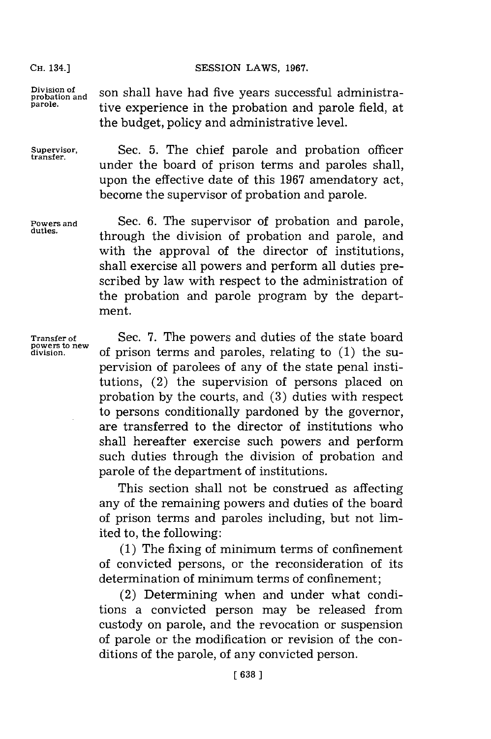**CH.** 134.]

Division of son shall have had five years successful administra**parole.** tive experience in the probation and parole field, at

**Supervisor,** Sec. **5.** The chief parole and probation officer under the board of prison terms and paroles shall, upon the effective date of this **1967** amendatory act, become the supervisor of probation and parole.

SESSION LAWS, 1967.

the budget, policy and administrative level.

**Powers and** Sec. **6.** The supervisor of probation and parole, **duties.** through the division of probation and parole, and with the approval of the director of institutions. shall exercise all powers and perform all duties prescribed **by** law with respect to the administration of the probation and parole program **by** the department.

**Transfer of poweirs to new division.**

Sec. **7.** The powers and duties of the state board of prison terms and paroles, relating to **(1)** the supervision of parolees of any of the state penal institutions, (2) the supervision of persons placed on probation **by** the courts, and **(3)** duties with respect to persons conditionally pardoned **by** the governor, are transferred to the director of institutions who shall hereafter exercise such powers and perform such duties through the division of probation and parole of the department of institutions.

This section shall not be construed as affecting any of the remaining powers and duties of the board of prison terms and paroles including, but not limited to, the following:

**(1)** The fixing of minimum terms of confinement of convicted persons, or the reconsideration of its determination of minimum terms of confinement;

(2) Determining when and under what conditions a convicted person may be released from custody on parole, and the revocation or suspension of parole or the modification or revision of the conditions of the parole, of any convicted person.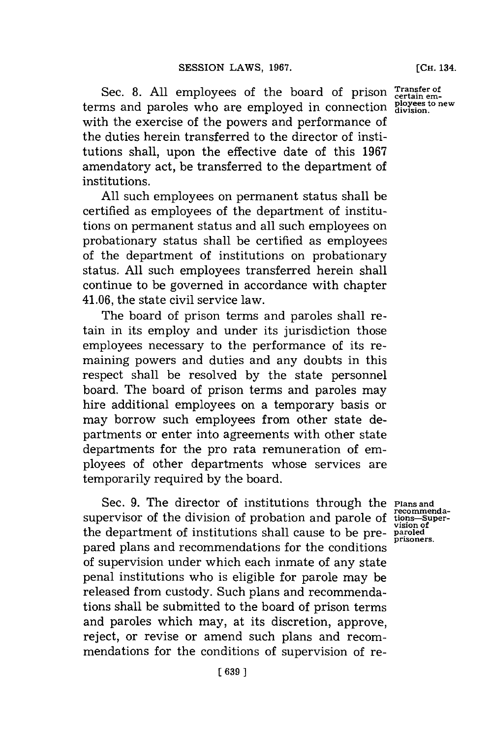Sec. 8. All employees of the board of prison Transfer of terms and paroles who are employed in connection **certain em- ployees to new division.** with the exercise of the powers and performance of the duties herein transferred to the director of institutions shall, upon the effective date of this **1967** amendatory act, be transferred to the department of institutions.

**All** such employees on permanent status shall be certified as employees of the department of institutions on permanent status and all such employees on probationary status shall be certified as employees of the department of institutions on probationary status. **All** such employees transferred herein shall continue to be governed in accordance with chapter 41.06, the state civil service law.

The board of prison terms and paroles shall retain in its employ and under its jurisdiction those employees necessary to the performance of its remaining powers and duties and any doubts in this respect shall be resolved **by** the state personnel board. The board of prison terms and paroles may hire additional employees on a temporary basis or may borrow such employees from other state departments or enter into agreements with other state departments for the pro rata remuneration of employees of other departments whose services are temporarily required **by** the board.

Sec. **9.** The director of institutions through the **Plans and** supervisor of the division of probation and parole of the department of institutions shall cause to be prepared plans and recommendations for the conditions of supervision under which each inmate of any state penal institutions who is eligible for parole may be released from custody. Such plans and recommendations shall be submitted to the board of prison terms and paroles which may, at its discretion, approve, reject, or revise or amend such plans and recommendations for the conditions of supervision of re-

**recommenda-tions-Super-vision of paroled prisoners.**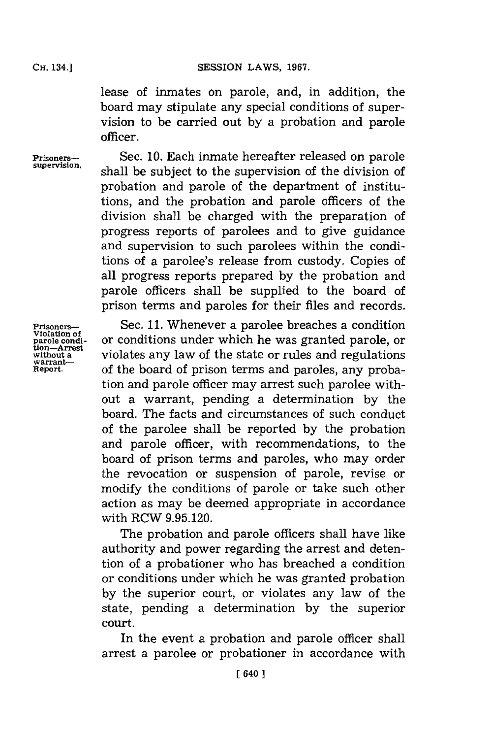**CH. 34.]SESSION LAWS, 1967.**

lease of inmates on parole, and, in addition, the board may stipulate any special conditions of supervision to be carried out **by** a probation and parole officer.

**Prisoners-** Sec. 10. Each inmate hereafter released on parole supervision. shall be subject to the supervision of the division of probation and parole of the department of institutions, and the probation and parole officers of the division shall be charged with the preparation of progress reports of parolees and to give guidance and supervision to such parolees within the conditions of a parolee's release from custody. Copies of all progress reports prepared **by** the probation and parole officers shall be supplied to the board of prison terms and paroles for their files and records.

**Violation of warrant-**

**Prisoners-** Sec. 11. Whenever a parolee breaches a condition **paro e odi-** or conditions under which he was granted parole, or  $\frac{u_0 - A}{u_0}$  violates any law of the state or rules and regulations of the board of prison terms and paroles, any probation and parole officer may arrest such parolee without a warrant, pending a determination **by** the board. The facts and circumstances of such conduct of the parolee shall be reported **by** the probation and parole officer, with recommendations, to the board of prison terms and paroles, who may order the revocation or suspension of parole, revise or modify the conditions of parole or take such other action as may be deemed appropriate in accordance with RCW **9.95.120.**

> The probation and parole officers shall have like authority and power regarding the arrest and detention of a probationer who has breached a condition or conditions under which he was granted probation **by** the superior court, or violates any law of the state, pending a determination **by** the superior court.

> In the event a probation and parole officer shall arrest a parolee or probationer in accordance with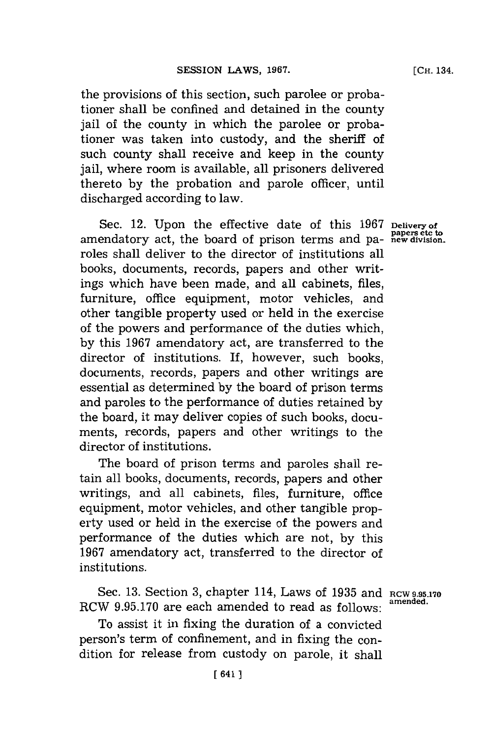the provisions of this section, such parolee or probationer shall be confined and detained in the county jail of the county in which the parolee or probationer was taken into custody, and the sheriff of such county shall receive and keep in the county jail, where room is available, all prisoners delivered thereto **by** the probation and parole officer, until discharged according to law.

Sec. 12. Upon the effective date of this 1967 Delivery of **papers etc to** amendatory act, the board of prison terms and pa- **new division.** roles shall deliver to the director of institutions all books, documents, records, papers and other writings which have been made, and all cabinets, files, furniture, office equipment, motor vehicles, and other tangible property used or held in the exercise of the powers and performance of the duties which, **by** this **1967** amendatory act, are transferred to the director of institutions. If, however, such books, documents, records, papers and other writings are essential as determined **by** the board of prison terms and paroles to the performance of duties retained **by** the board, it may deliver copies of such books, documents, records, papers and other writings to the director of institutions.

The board of prison terms and paroles shall retain all books, documents, records, papers and other writings, and all cabinets, files, furniture, office equipment, motor vehicles, and other tangible property used or held in the exercise of the powers and performance of the duties which are not, **by** this **1967** amendatory act, transferred to the director of institutions.

Sec. **13.** Section **3,** chapter 114, Laws of **1935** and **RCW 9.95.170** RCW 9.95.170 are each amended to read as follows:

To assist it in fixing the duration of a convicted person's term of confinement, and in fixing the condition for release from custody on parole, it shall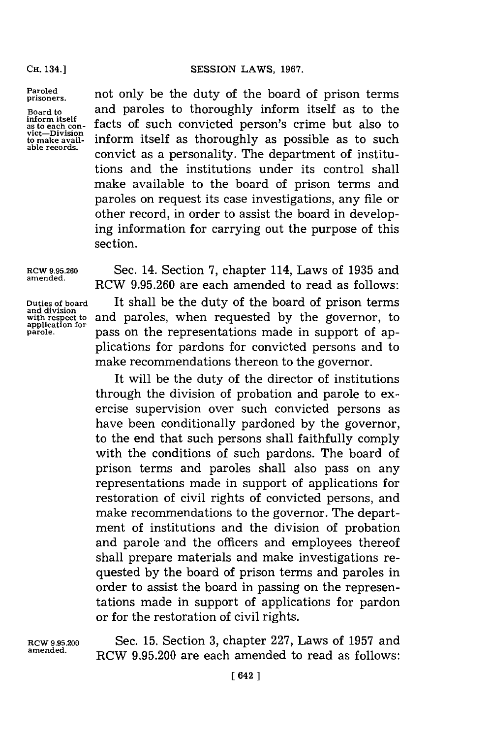#### **CH. 34.]SESSION** LAWS, **1967.**

**CH.** 134.]

**Paroled prisoners.**

**Board to inform itself as to each con- vict-Div'isin to make available records.**

not only be the duty of the board of prison terms and paroles to thoroughly inform itself as to the facts of such convicted person's crime but also to inform itself as thoroughly as possible as to such convict as a personality. The department of institutions and the institutions under its control shall make available to the board of prison terms and paroles on request its case investigations, any file or other record, in order to assist the board in developing information for carrying out the purpose of this section.

**and division**

RCW **9.95.260** Sec. 14. Section **7,** chapter 114, Laws of **1935** and **amended.** RCW **9.95.260** are each amended to read as follows: **Duties of board** It shall be the duty of the board of prison terms and division<br>with respect to and paroles, when requested by the governor, to<br>application for<br>parole. **parole** pass on the representations made in support of appass on the representations made in support of applications for pardons for convicted persons and to make recommendations thereon to the governor.

> It will be the duty of the director of institutions through the division of probation and parole to exercise supervision over such convicted persons as have been conditionally pardoned **by** the governor, to the end that such persons shall faithfully comply with the conditions of such pardons. The board of prison terms and paroles shall also pass on any representations made in support of applications for restoration of civil rights of convicted persons, and make recommendations to the governor. The department of institutions and the division of probation and parole and the officers and employees thereof shall prepare materials and make investigations requested **by** the board of prison terms and paroles in order to assist the board in passing on the representations made in support of applications for pardon or for the restoration of civil rights.

RCW **.95.200** Sec. **15.** Section **3,** chapter **227,** Laws of **1957** and **amended.** RCW **9.95.200** are each amended to read as follows: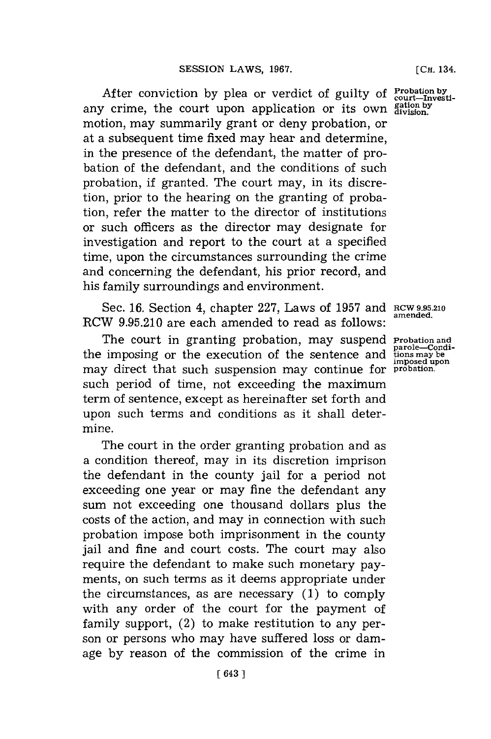After conviction by plea or verdict of guilty of **Probation by** court-investi any crime, the court upon application or its own **gation by division.** motion, may summarily grant or deny probation, or at a subsequent time fixed may hear and determine, in the presence of the defendant, the matter of probation of the defendant, and the conditions of such probation, if granted. The court may, in its discretion, prior to the hearing on the granting of probation, refer the matter to the director of institutions or such officers as the director may designate for investigation and report to the court at a specified time, upon the circumstances surrounding the crime and concerning the defendant, his prior record, and his family surroundings and environment.

Sec. **16.** Section 4, chapter **227,** Laws of **1957** and RcW **9.95.210** RCW 9.95.210 are each amended to read as follows:

The court in granting probation, may suspend **Probation and** the imposing or the execution of the sentence and **imposed upon** may direct that such suspension may continue for **probation.** such period of time, not exceeding the maximum term of sentence, except as hereinafter set forth and upon such terms and conditions as it shall determine.

The court in the order granting probation and as a condition thereof, may in its discretion imprison the defendant in the county jail for a period not exceeding one year or may fine the defendant any sum not exceeding one thousand dollars plus the costs of the action, and may in connection with such probation impose both imprisonment in the county jail and fine and court costs. The court may also require the defendant to make such monetary payments, on such terms as it deems appropriate under the circumstances, as are necessary **(1)** to **comply** with any order of the court for the payment of family support, (2) to make restitution to any person or persons who may have suffered loss or damage **by** reason of the commission of the crime in

parole—Condi-<br>tions may be